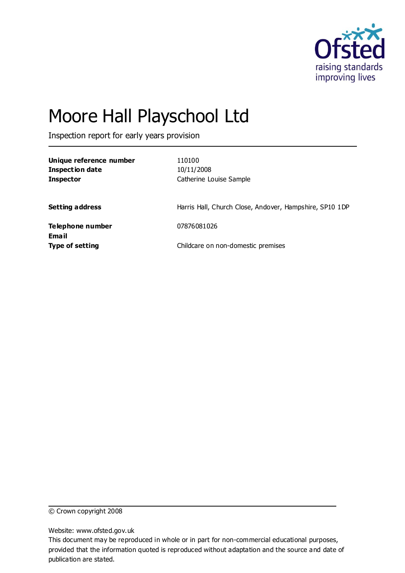

# Moore Hall Playschool Ltd

Inspection report for early years provision

| Unique reference number<br><b>Inspection date</b><br><b>Inspector</b> | 110100<br>10/11/2008<br>Catherine Louise Sample         |
|-----------------------------------------------------------------------|---------------------------------------------------------|
| <b>Setting address</b>                                                | Harris Hall, Church Close, Andover, Hampshire, SP10 1DP |
| Telephone number<br>Email                                             | 07876081026                                             |
| <b>Type of setting</b>                                                | Childcare on non-domestic premises                      |

© Crown copyright 2008

Website: www.ofsted.gov.uk

This document may be reproduced in whole or in part for non-commercial educational purposes, provided that the information quoted is reproduced without adaptation and the source and date of publication are stated.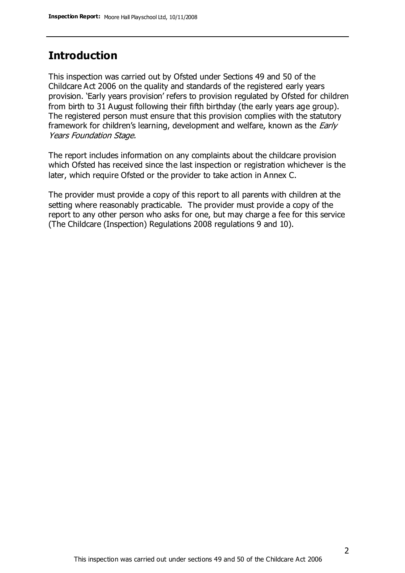#### **Introduction**

This inspection was carried out by Ofsted under Sections 49 and 50 of the Childcare Act 2006 on the quality and standards of the registered early years provision. 'Early years provision' refers to provision regulated by Ofsted for children from birth to 31 August following their fifth birthday (the early years age group). The registered person must ensure that this provision complies with the statutory framework for children's learning, development and welfare, known as the *Early* Years Foundation Stage.

The report includes information on any complaints about the childcare provision which Ofsted has received since the last inspection or registration whichever is the later, which require Ofsted or the provider to take action in Annex C.

The provider must provide a copy of this report to all parents with children at the setting where reasonably practicable. The provider must provide a copy of the report to any other person who asks for one, but may charge a fee for this service (The Childcare (Inspection) Regulations 2008 regulations 9 and 10).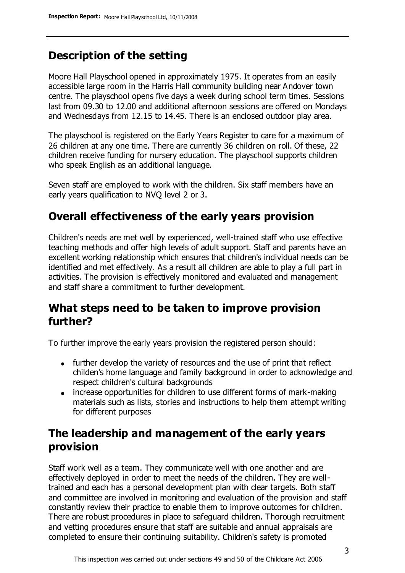# **Description of the setting**

Moore Hall Playschool opened in approximately 1975. It operates from an easily accessible large room in the Harris Hall community building near Andover town centre. The playschool opens five days a week during school term times. Sessions last from 09.30 to 12.00 and additional afternoon sessions are offered on Mondays and Wednesdays from 12.15 to 14.45. There is an enclosed outdoor play area.

The playschool is registered on the Early Years Register to care for a maximum of 26 children at any one time. There are currently 36 children on roll. Of these, 22 children receive funding for nursery education. The playschool supports children who speak English as an additional language.

Seven staff are employed to work with the children. Six staff members have an early years qualification to NVQ level 2 or 3.

### **Overall effectiveness of the early years provision**

Children's needs are met well by experienced, well-trained staff who use effective teaching methods and offer high levels of adult support. Staff and parents have an excellent working relationship which ensures that children's individual needs can be identified and met effectively. As a result all children are able to play a full part in activities. The provision is effectively monitored and evaluated and management and staff share a commitment to further development.

## **What steps need to be taken to improve provision further?**

To further improve the early years provision the registered person should:

- further develop the variety of resources and the use of print that reflect childen's home language and family background in order to acknowledge and respect children's cultural backgrounds
- increase opportunities for children to use different forms of mark-making materials such as lists, stories and instructions to help them attempt writing for different purposes

# **The leadership and management of the early years provision**

Staff work well as a team. They communicate well with one another and are effectively deployed in order to meet the needs of the children. They are welltrained and each has a personal development plan with clear targets. Both staff and committee are involved in monitoring and evaluation of the provision and staff constantly review their practice to enable them to improve outcomes for children. There are robust procedures in place to safeguard children. Thorough recruitment and vetting procedures ensure that staff are suitable and annual appraisals are completed to ensure their continuing suitability. Children's safety is promoted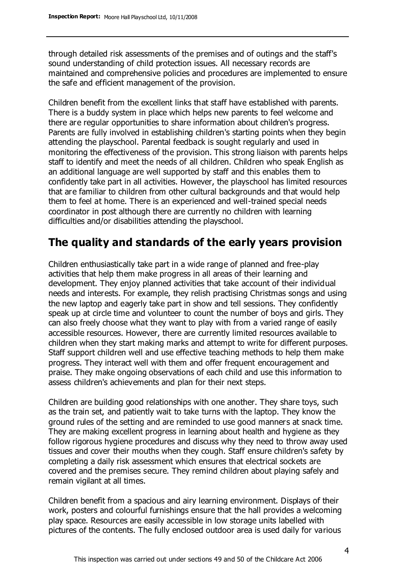through detailed risk assessments of the premises and of outings and the staff's sound understanding of child protection issues. All necessary records are maintained and comprehensive policies and procedures are implemented to ensure the safe and efficient management of the provision.

Children benefit from the excellent links that staff have established with parents. There is a buddy system in place which helps new parents to feel welcome and there are regular opportunities to share information about children's progress. Parents are fully involved in establishing children's starting points when they begin attending the playschool. Parental feedback is sought regularly and used in monitoring the effectiveness of the provision. This strong liaison with parents helps staff to identify and meet the needs of all children. Children who speak English as an additional language are well supported by staff and this enables them to confidently take part in all activities. However, the playschool has limited resources that are familiar to children from other cultural backgrounds and that would help them to feel at home. There is an experienced and well-trained special needs coordinator in post although there are currently no children with learning difficulties and/or disabilities attending the playschool.

## **The quality and standards of the early years provision**

Children enthusiastically take part in a wide range of planned and free-play activities that help them make progress in all areas of their learning and development. They enjoy planned activities that take account of their individual needs and interests. For example, they relish practising Christmas songs and using the new laptop and eagerly take part in show and tell sessions. They confidently speak up at circle time and volunteer to count the number of boys and girls. They can also freely choose what they want to play with from a varied range of easily accessible resources. However, there are currently limited resources available to children when they start making marks and attempt to write for different purposes. Staff support children well and use effective teaching methods to help them make progress. They interact well with them and offer frequent encouragement and praise. They make ongoing observations of each child and use this information to assess children's achievements and plan for their next steps.

Children are building good relationships with one another. They share toys, such as the train set, and patiently wait to take turns with the laptop. They know the ground rules of the setting and are reminded to use good manners at snack time. They are making excellent progress in learning about health and hygiene as they follow rigorous hygiene procedures and discuss why they need to throw away used tissues and cover their mouths when they cough. Staff ensure children's safety by completing a daily risk assessment which ensures that electrical sockets are covered and the premises secure. They remind children about playing safely and remain vigilant at all times.

Children benefit from a spacious and airy learning environment. Displays of their work, posters and colourful furnishings ensure that the hall provides a welcoming play space. Resources are easily accessible in low storage units labelled with pictures of the contents. The fully enclosed outdoor area is used daily for various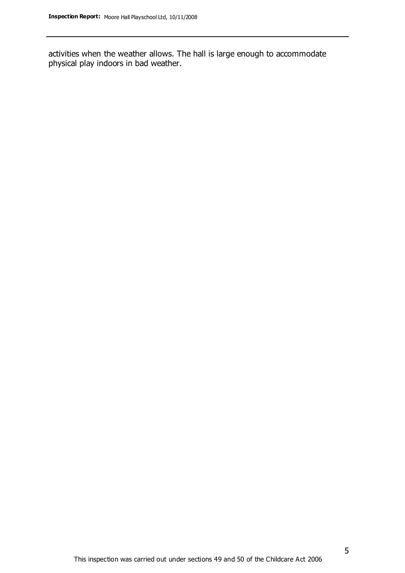activities when the weather allows. The hall is large enough to accommodate physical play indoors in bad weather.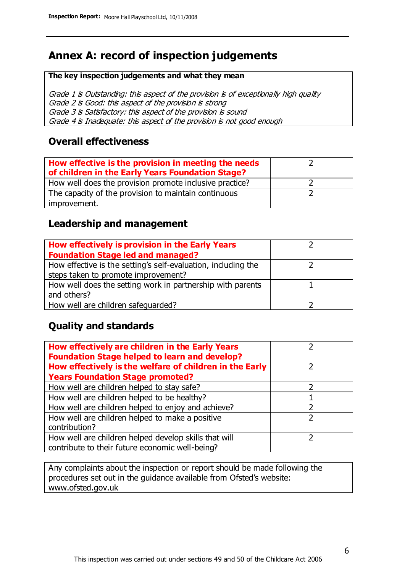# **Annex A: record of inspection judgements**

#### **The key inspection judgements and what they mean**

Grade 1 is Outstanding: this aspect of the provision is of exceptionally high quality Grade 2 is Good: this aspect of the provision is strong Grade 3 is Satisfactory: this aspect of the provision is sound Grade 4 is Inadequate: this aspect of the provision is not good enough

#### **Overall effectiveness**

| How effective is the provision in meeting the needs<br>of children in the Early Years Foundation Stage? |  |
|---------------------------------------------------------------------------------------------------------|--|
| How well does the provision promote inclusive practice?                                                 |  |
| The capacity of the provision to maintain continuous                                                    |  |
| improvement.                                                                                            |  |

#### **Leadership and management**

| How effectively is provision in the Early Years               |  |
|---------------------------------------------------------------|--|
| <b>Foundation Stage led and managed?</b>                      |  |
| How effective is the setting's self-evaluation, including the |  |
| steps taken to promote improvement?                           |  |
| How well does the setting work in partnership with parents    |  |
| and others?                                                   |  |
| How well are children safequarded?                            |  |

#### **Quality and standards**

| How effectively are children in the Early Years<br><b>Foundation Stage helped to learn and develop?</b> |  |
|---------------------------------------------------------------------------------------------------------|--|
| How effectively is the welfare of children in the Early                                                 |  |
| <b>Years Foundation Stage promoted?</b>                                                                 |  |
| How well are children helped to stay safe?                                                              |  |
| How well are children helped to be healthy?                                                             |  |
| How well are children helped to enjoy and achieve?                                                      |  |
| How well are children helped to make a positive                                                         |  |
| contribution?                                                                                           |  |
| How well are children helped develop skills that will                                                   |  |
| contribute to their future economic well-being?                                                         |  |

Any complaints about the inspection or report should be made following the procedures set out in the guidance available from Ofsted's website: www.ofsted.gov.uk